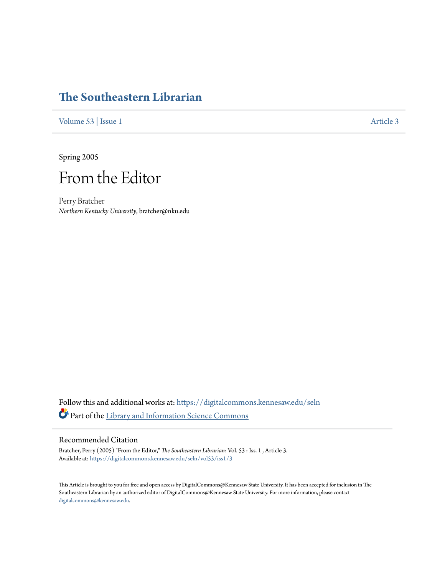## **[The Southeastern Librarian](https://digitalcommons.kennesaw.edu/seln?utm_source=digitalcommons.kennesaw.edu%2Fseln%2Fvol53%2Fiss1%2F3&utm_medium=PDF&utm_campaign=PDFCoverPages)**

[Volume 53](https://digitalcommons.kennesaw.edu/seln/vol53?utm_source=digitalcommons.kennesaw.edu%2Fseln%2Fvol53%2Fiss1%2F3&utm_medium=PDF&utm_campaign=PDFCoverPages) | [Issue 1](https://digitalcommons.kennesaw.edu/seln/vol53/iss1?utm_source=digitalcommons.kennesaw.edu%2Fseln%2Fvol53%2Fiss1%2F3&utm_medium=PDF&utm_campaign=PDFCoverPages) [Article 3](https://digitalcommons.kennesaw.edu/seln/vol53/iss1/3?utm_source=digitalcommons.kennesaw.edu%2Fseln%2Fvol53%2Fiss1%2F3&utm_medium=PDF&utm_campaign=PDFCoverPages)

Spring 2005

## From the Editor

Perry Bratcher *Northern Kentucky University*, bratcher@nku.edu

Follow this and additional works at: [https://digitalcommons.kennesaw.edu/seln](https://digitalcommons.kennesaw.edu/seln?utm_source=digitalcommons.kennesaw.edu%2Fseln%2Fvol53%2Fiss1%2F3&utm_medium=PDF&utm_campaign=PDFCoverPages) Part of the [Library and Information Science Commons](http://network.bepress.com/hgg/discipline/1018?utm_source=digitalcommons.kennesaw.edu%2Fseln%2Fvol53%2Fiss1%2F3&utm_medium=PDF&utm_campaign=PDFCoverPages)

## Recommended Citation

Bratcher, Perry (2005) "From the Editor," *The Southeastern Librarian*: Vol. 53 : Iss. 1 , Article 3. Available at: [https://digitalcommons.kennesaw.edu/seln/vol53/iss1/3](https://digitalcommons.kennesaw.edu/seln/vol53/iss1/3?utm_source=digitalcommons.kennesaw.edu%2Fseln%2Fvol53%2Fiss1%2F3&utm_medium=PDF&utm_campaign=PDFCoverPages)

This Article is brought to you for free and open access by DigitalCommons@Kennesaw State University. It has been accepted for inclusion in The Southeastern Librarian by an authorized editor of DigitalCommons@Kennesaw State University. For more information, please contact [digitalcommons@kennesaw.edu.](mailto:digitalcommons@kennesaw.edu)